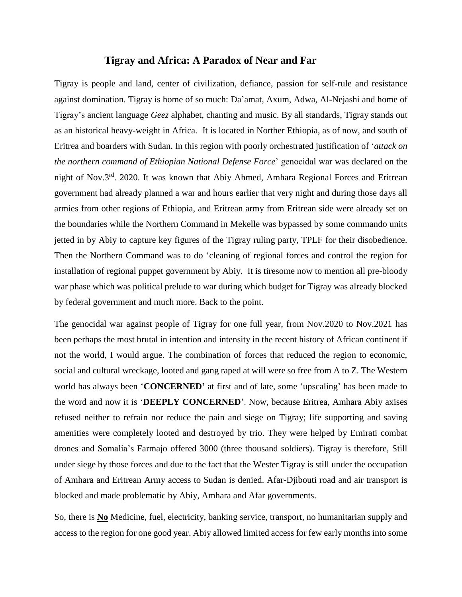## **Tigray and Africa: A Paradox of Near and Far**

Tigray is people and land, center of civilization, defiance, passion for self-rule and resistance against domination. Tigray is home of so much: Da'amat, Axum, Adwa, Al-Nejashi and home of Tigray's ancient language *Geez* alphabet, chanting and music. By all standards, Tigray stands out as an historical heavy-weight in Africa. It is located in Norther Ethiopia, as of now, and south of Eritrea and boarders with Sudan. In this region with poorly orchestrated justification of '*attack on the northern command of Ethiopian National Defense Force*' genocidal war was declared on the night of Nov.3<sup>rd</sup>. 2020. It was known that Abiy Ahmed, Amhara Regional Forces and Eritrean government had already planned a war and hours earlier that very night and during those days all armies from other regions of Ethiopia, and Eritrean army from Eritrean side were already set on the boundaries while the Northern Command in Mekelle was bypassed by some commando units jetted in by Abiy to capture key figures of the Tigray ruling party, TPLF for their disobedience. Then the Northern Command was to do 'cleaning of regional forces and control the region for installation of regional puppet government by Abiy. It is tiresome now to mention all pre-bloody war phase which was political prelude to war during which budget for Tigray was already blocked by federal government and much more. Back to the point.

The genocidal war against people of Tigray for one full year, from Nov.2020 to Nov.2021 has been perhaps the most brutal in intention and intensity in the recent history of African continent if not the world, I would argue. The combination of forces that reduced the region to economic, social and cultural wreckage, looted and gang raped at will were so free from A to Z. The Western world has always been '**CONCERNED'** at first and of late, some 'upscaling' has been made to the word and now it is '**DEEPLY CONCERNED**'. Now, because Eritrea, Amhara Abiy axises refused neither to refrain nor reduce the pain and siege on Tigray; life supporting and saving amenities were completely looted and destroyed by trio. They were helped by Emirati combat drones and Somalia's Farmajo offered 3000 (three thousand soldiers). Tigray is therefore, Still under siege by those forces and due to the fact that the Wester Tigray is still under the occupation of Amhara and Eritrean Army access to Sudan is denied. Afar-Djibouti road and air transport is blocked and made problematic by Abiy, Amhara and Afar governments.

So, there is **No** Medicine, fuel, electricity, banking service, transport, no humanitarian supply and access to the region for one good year. Abiy allowed limited access for few early months into some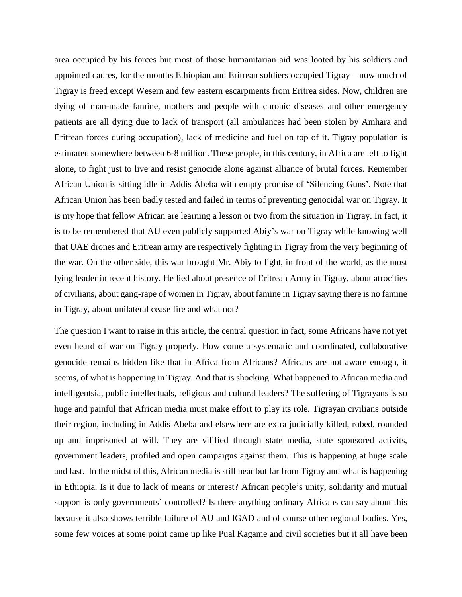area occupied by his forces but most of those humanitarian aid was looted by his soldiers and appointed cadres, for the months Ethiopian and Eritrean soldiers occupied Tigray – now much of Tigray is freed except Wesern and few eastern escarpments from Eritrea sides. Now, children are dying of man-made famine, mothers and people with chronic diseases and other emergency patients are all dying due to lack of transport (all ambulances had been stolen by Amhara and Eritrean forces during occupation), lack of medicine and fuel on top of it. Tigray population is estimated somewhere between 6-8 million. These people, in this century, in Africa are left to fight alone, to fight just to live and resist genocide alone against alliance of brutal forces. Remember African Union is sitting idle in Addis Abeba with empty promise of 'Silencing Guns'. Note that African Union has been badly tested and failed in terms of preventing genocidal war on Tigray. It is my hope that fellow African are learning a lesson or two from the situation in Tigray. In fact, it is to be remembered that AU even publicly supported Abiy's war on Tigray while knowing well that UAE drones and Eritrean army are respectively fighting in Tigray from the very beginning of the war. On the other side, this war brought Mr. Abiy to light, in front of the world, as the most lying leader in recent history. He lied about presence of Eritrean Army in Tigray, about atrocities of civilians, about gang-rape of women in Tigray, about famine in Tigray saying there is no famine in Tigray, about unilateral cease fire and what not?

The question I want to raise in this article, the central question in fact, some Africans have not yet even heard of war on Tigray properly. How come a systematic and coordinated, collaborative genocide remains hidden like that in Africa from Africans? Africans are not aware enough, it seems, of what is happening in Tigray. And that is shocking. What happened to African media and intelligentsia, public intellectuals, religious and cultural leaders? The suffering of Tigrayans is so huge and painful that African media must make effort to play its role. Tigrayan civilians outside their region, including in Addis Abeba and elsewhere are extra judicially killed, robed, rounded up and imprisoned at will. They are vilified through state media, state sponsored activits, government leaders, profiled and open campaigns against them. This is happening at huge scale and fast. In the midst of this, African media is still near but far from Tigray and what is happening in Ethiopia. Is it due to lack of means or interest? African people's unity, solidarity and mutual support is only governments' controlled? Is there anything ordinary Africans can say about this because it also shows terrible failure of AU and IGAD and of course other regional bodies. Yes, some few voices at some point came up like Pual Kagame and civil societies but it all have been